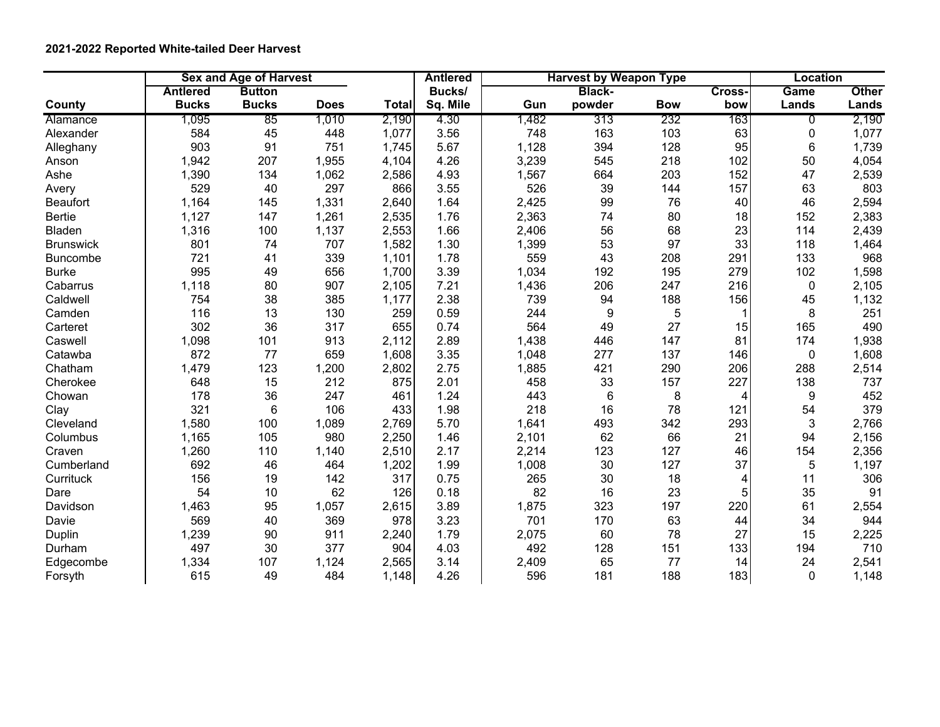## **2021-2022 Reported White-tailed Deer Harvest**

|                  | <b>Sex and Age of Harvest</b> |                 |             |              | <b>Antlered</b> |       | <b>Harvest by Weapon Type</b> |            | <b>Location</b> |              |              |
|------------------|-------------------------------|-----------------|-------------|--------------|-----------------|-------|-------------------------------|------------|-----------------|--------------|--------------|
|                  | <b>Antlered</b>               | <b>Button</b>   |             |              | Bucks/          |       | <b>Black-</b>                 |            | Cross-          | Game         | <b>Other</b> |
| County           | <b>Bucks</b>                  | <b>Bucks</b>    | <b>Does</b> | <b>Total</b> | Sq. Mile        | Gun   | powder                        | <b>Bow</b> | bow             | Lands        | Lands        |
| Alamance         | 1,095                         | 85              | 1,010       | 2,190        | 4.30            | 1,482 | 313                           | 232        | 163             | 0            | 2,190        |
| Alexander        | 584                           | 45              | 448         | 1,077        | 3.56            | 748   | 163                           | 103        | 63              | 0            | 1,077        |
| Alleghany        | 903                           | 91              | 751         | 1,745        | 5.67            | 1,128 | 394                           | 128        | 95              | 6            | 1,739        |
| Anson            | 1,942                         | 207             | 1,955       | 4,104        | 4.26            | 3,239 | 545                           | 218        | 102             | 50           | 4,054        |
| Ashe             | 1,390                         | 134             | 1,062       | 2,586        | 4.93            | 1,567 | 664                           | 203        | 152             | 47           | 2,539        |
| Avery            | 529                           | 40              | 297         | 866          | 3.55            | 526   | 39                            | 144        | 157             | 63           | 803          |
| <b>Beaufort</b>  | 1,164                         | 145             | 1,331       | 2,640        | 1.64            | 2,425 | 99                            | 76         | 40              | 46           | 2,594        |
| <b>Bertie</b>    | 1,127                         | 147             | 1,261       | 2,535        | 1.76            | 2,363 | 74                            | 80         | 18              | 152          | 2,383        |
| <b>Bladen</b>    | 1,316                         | 100             | 1,137       | 2,553        | 1.66            | 2,406 | 56                            | 68         | 23              | 114          | 2,439        |
| <b>Brunswick</b> | 801                           | 74              | 707         | 1,582        | 1.30            | 1,399 | 53                            | 97         | 33              | 118          | 1,464        |
| <b>Buncombe</b>  | 721                           | 41              | 339         | 1,101        | 1.78            | 559   | 43                            | 208        | 291             | 133          | 968          |
| <b>Burke</b>     | 995                           | 49              | 656         | 1,700        | 3.39            | 1,034 | 192                           | 195        | 279             | 102          | 1,598        |
| Cabarrus         | 1,118                         | 80              | 907         | 2,105        | 7.21            | 1,436 | 206                           | 247        | 216             | $\mathbf 0$  | 2,105        |
| Caldwell         | 754                           | 38              | 385         | 1,177        | 2.38            | 739   | 94                            | 188        | 156             | 45           | 1,132        |
| Camden           | 116                           | 13              | 130         | 259          | 0.59            | 244   | $\boldsymbol{9}$              | 5          | $\mathbf 1$     | 8            | 251          |
| Carteret         | 302                           | 36              | 317         | 655          | 0.74            | 564   | 49                            | 27         | 15              | 165          | 490          |
| Caswell          | 1,098                         | 101             | 913         | 2,112        | 2.89            | 1,438 | 446                           | 147        | 81              | 174          | 1,938        |
| Catawba          | 872                           | 77              | 659         | 1,608        | 3.35            | 1,048 | 277                           | 137        | 146             | $\mathbf 0$  | 1,608        |
| Chatham          | 1,479                         | 123             | 1,200       | 2,802        | 2.75            | 1,885 | 421                           | 290        | 206             | 288          | 2,514        |
| Cherokee         | 648                           | 15              | 212         | 875          | 2.01            | 458   | 33                            | 157        | 227             | 138          | 737          |
| Chowan           | 178                           | 36              | 247         | 461          | 1.24            | 443   | $6\phantom{1}$                | 8          | 4               | 9            | 452          |
| Clay             | 321                           | $6\phantom{1}6$ | 106         | 433          | 1.98            | 218   | 16                            | 78         | 121             | 54           | 379          |
| Cleveland        | 1,580                         | 100             | 1,089       | 2,769        | 5.70            | 1,641 | 493                           | 342        | 293             | 3            | 2,766        |
| Columbus         | 1,165                         | 105             | 980         | 2,250        | 1.46            | 2,101 | 62                            | 66         | 21              | 94           | 2,156        |
| Craven           | 1,260                         | 110             | 1,140       | 2,510        | 2.17            | 2,214 | 123                           | 127        | 46              | 154          | 2,356        |
| Cumberland       | 692                           | 46              | 464         | 1,202        | 1.99            | 1,008 | 30                            | 127        | 37              | 5            | 1,197        |
| Currituck        | 156                           | 19              | 142         | 317          | 0.75            | 265   | 30                            | 18         | 4               | 11           | 306          |
| Dare             | 54                            | 10              | 62          | 126          | 0.18            | 82    | 16                            | 23         | 5               | 35           | 91           |
| Davidson         | 1,463                         | 95              | 1,057       | 2,615        | 3.89            | 1,875 | 323                           | 197        | 220             | 61           | 2,554        |
| Davie            | 569                           | 40              | 369         | 978          | 3.23            | 701   | 170                           | 63         | 44              | 34           | 944          |
| Duplin           | 1,239                         | 90              | 911         | 2,240        | 1.79            | 2,075 | 60                            | 78         | 27              | 15           | 2,225        |
| Durham           | 497                           | 30              | 377         | 904          | 4.03            | 492   | 128                           | 151        | 133             | 194          | 710          |
| Edgecombe        | 1,334                         | 107             | 1,124       | 2,565        | 3.14            | 2,409 | 65                            | 77         | 14              | 24           | 2,541        |
| Forsyth          | 615                           | 49              | 484         | 1,148        | 4.26            | 596   | 181                           | 188        | 183             | $\mathbf{0}$ | 1,148        |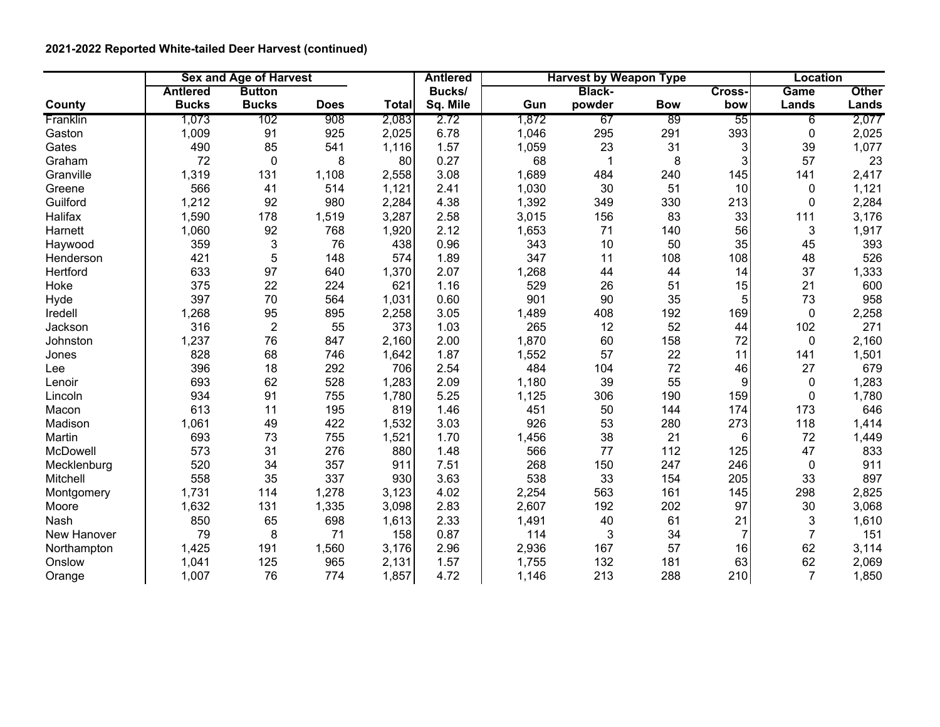## **2021-2022 Reported White-tailed Deer Harvest (continued)**

|                | <b>Sex and Age of Harvest</b> |                  |             |       | <b>Harvest by Weapon Type</b><br><b>Antlered</b> |       |               |            | Location       |                |              |
|----------------|-------------------------------|------------------|-------------|-------|--------------------------------------------------|-------|---------------|------------|----------------|----------------|--------------|
|                | <b>Antlered</b>               | <b>Button</b>    |             |       | Bucks/                                           |       | <b>Black-</b> |            | Cross-         | Game           | <b>Other</b> |
| County         | <b>Bucks</b>                  | <b>Bucks</b>     | <b>Does</b> | Total | Sq. Mile                                         | Gun   | powder        | <b>Bow</b> | bow            | Lands          | Lands        |
| Franklin       | 1,073                         | 102              | 908         | 2,083 | 2.72                                             | 1,872 | 67            | 89         | 55             | 6              | 2,077        |
| Gaston         | 1,009                         | 91               | 925         | 2,025 | 6.78                                             | 1,046 | 295           | 291        | 393            | 0              | 2,025        |
| Gates          | 490                           | 85               | 541         | 1,116 | 1.57                                             | 1,059 | 23            | 31         | 3              | 39             | 1,077        |
| Graham         | 72                            | $\mathbf 0$      | 8           | 80    | 0.27                                             | 68    | $\mathbf 1$   | 8          | 3              | 57             | 23           |
| Granville      | 1,319                         | 131              | 1,108       | 2,558 | 3.08                                             | 1,689 | 484           | 240        | 145            | 141            | 2,417        |
| Greene         | 566                           | 41               | 514         | 1,121 | 2.41                                             | 1,030 | 30            | 51         | 10             | 0              | 1,121        |
| Guilford       | 1,212                         | 92               | 980         | 2,284 | 4.38                                             | 1,392 | 349           | 330        | 213            | $\Omega$       | 2,284        |
| <b>Halifax</b> | 1,590                         | 178              | 1,519       | 3,287 | 2.58                                             | 3,015 | 156           | 83         | 33             | 111            | 3,176        |
| Harnett        | 1,060                         | 92               | 768         | 1,920 | 2.12                                             | 1,653 | 71            | 140        | 56             | 3              | 1,917        |
| Haywood        | 359                           | 3                | 76          | 438   | 0.96                                             | 343   | 10            | 50         | 35             | 45             | 393          |
| Henderson      | 421                           | 5                | 148         | 574   | 1.89                                             | 347   | 11            | 108        | 108            | 48             | 526          |
| Hertford       | 633                           | 97               | 640         | 1,370 | 2.07                                             | 1,268 | 44            | 44         | 14             | 37             | 1,333        |
| Hoke           | 375                           | 22               | 224         | 621   | 1.16                                             | 529   | 26            | 51         | 15             | 21             | 600          |
| Hyde           | 397                           | 70               | 564         | 1,031 | 0.60                                             | 901   | 90            | 35         | 5              | 73             | 958          |
| Iredell        | 1,268                         | 95               | 895         | 2,258 | 3.05                                             | 1,489 | 408           | 192        | 169            | 0              | 2,258        |
| Jackson        | 316                           | $\boldsymbol{2}$ | 55          | 373   | 1.03                                             | 265   | 12            | 52         | 44             | 102            | 271          |
| Johnston       | 1,237                         | 76               | 847         | 2,160 | 2.00                                             | 1,870 | 60            | 158        | 72             | $\mathbf{0}$   | 2,160        |
| Jones          | 828                           | 68               | 746         | 1,642 | 1.87                                             | 1,552 | 57            | 22         | 11             | 141            | 1,501        |
| Lee            | 396                           | 18               | 292         | 706   | 2.54                                             | 484   | 104           | 72         | 46             | 27             | 679          |
| Lenoir         | 693                           | 62               | 528         | 1,283 | 2.09                                             | 1,180 | 39            | 55         | 9              | $\Omega$       | 1,283        |
| Lincoln        | 934                           | 91               | 755         | 1,780 | 5.25                                             | 1,125 | 306           | 190        | 159            | $\Omega$       | 1,780        |
| Macon          | 613                           | 11               | 195         | 819   | 1.46                                             | 451   | 50            | 144        | 174            | 173            | 646          |
| Madison        | 1,061                         | 49               | 422         | 1,532 | 3.03                                             | 926   | 53            | 280        | 273            | 118            | 1,414        |
| Martin         | 693                           | 73               | 755         | 1,521 | 1.70                                             | 1,456 | 38            | 21         | 6              | 72             | 1,449        |
| McDowell       | 573                           | 31               | 276         | 880   | 1.48                                             | 566   | 77            | 112        | 125            | 47             | 833          |
| Mecklenburg    | 520                           | 34               | 357         | 911   | 7.51                                             | 268   | 150           | 247        | 246            | 0              | 911          |
| Mitchell       | 558                           | 35               | 337         | 930   | 3.63                                             | 538   | 33            | 154        | 205            | 33             | 897          |
| Montgomery     | 1,731                         | 114              | 1,278       | 3,123 | 4.02                                             | 2,254 | 563           | 161        | 145            | 298            | 2,825        |
| Moore          | 1,632                         | 131              | 1,335       | 3,098 | 2.83                                             | 2,607 | 192           | 202        | 97             | 30             | 3,068        |
| Nash           | 850                           | 65               | 698         | 1,613 | 2.33                                             | 1,491 | 40            | 61         | 21             | 3              | 1,610        |
| New Hanover    | 79                            | 8                | 71          | 158   | 0.87                                             | 114   | 3             | 34         | $\overline{7}$ | $\overline{7}$ | 151          |
| Northampton    | 1,425                         | 191              | 1,560       | 3,176 | 2.96                                             | 2,936 | 167           | 57         | 16             | 62             | 3,114        |
| Onslow         | 1,041                         | 125              | 965         | 2,131 | 1.57                                             | 1,755 | 132           | 181        | 63             | 62             | 2,069        |
| Orange         | 1,007                         | 76               | 774         | 1,857 | 4.72                                             | 1,146 | 213           | 288        | 210            | $\overline{7}$ | 1,850        |